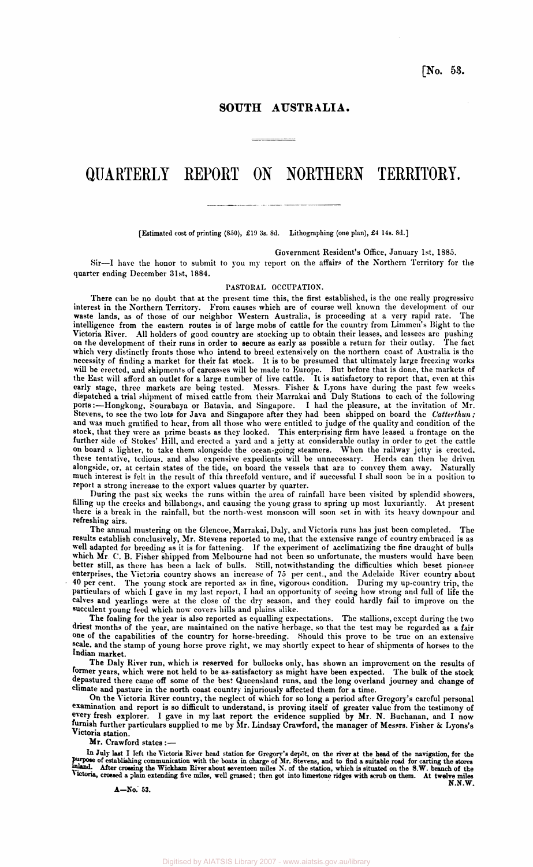**[No. 53.** 

## **SOUTH AUSTRALIA.**

# **QUARTERLY REPORT ON NORTHERN TERRITORY.**

**[Estimated cost of printing (850), £19 3s. 8d. Lithographing (one plan), £4 14s. 8d.]** 

**Government Resident's Office, January 1st, 1885.** 

**Sir—I have the honor to submit to you my report on the affairs of the Northern Territory for the quarter ending December 31st, 1884.** 

### **PASTORAL OCCUPATION.**

**There can be no doubt that at the present time this, the first established, is the one really progressive interest in the Northern Territory. From causes which are of course well known the development of our waste lands, as of those of our neighbor Western Australia, is proceeding at a very rapid rate. The intelligence from the eastern routes is of large mobs of cattle for the country from Limmen's Bight to the Victoria River. All holders of good country are stocking up to obtain their leases, and lessees are pushing on the development of their runs in order to secure as early as possible a return for their outlay. The fact which very distinctly fronts those who intend to breed extensively on the northern coast of Australia is the necessity of finding a market for their fat stock. It is to be presumed that ultimately large freezing works will be erected, and shipments of carcasses will be made to Europe. But before that is done, the markets of the East will afford an outlet for a large number of live cattle. It is satisfactory to report that, even at this early stage, three markets are being tested. Messrs. Fisher & Lyons have during the past few weeks dispatched a trial shipment of mixed cattle from their Marrakai and Daly Stations to each of the following ports:—Hongkong, Sourabaya or Batavia, and Singapore. I had the pleasure, at the invitation of Mr. Stevens, to see the two lots for Java and Singapore after they had been shipped on board the** *Catterthun;*  **and was much gratified to hear, from all those who were entitled to judge of the quality and condition of the stock, that they were as prime beasts as they looked. This enterprising firm have leased a frontage on the further side of Stokes' Hill, and erected a yard and a jetty at considerable outlay in order to get the cattle on board a lighter, to take them alongside the ocean-going steamers. When the railway jetty is erected, these tentative, tedious, and also expensive expedients will be unnecessary. Herds can then be driven alongside, or, at certain states of the tide, on board the vessels that are to convey them away. Naturally much interest is felt in the result of this threefold venture, and if successful I shall soon be in a position to report a strong increase to the export values quarter by quarter.** 

**During the past six weeks the runs within the area of rainfall have been visited by splendid showers, filling up the creeks and billabongs, and causing the young grass to spring up most luxuriantly. At present there is a break in the rainfall, but the north-west monsoon will soon set in with its heavy downpour and refreshing airs.** 

**The annual mustering on the Glencoe, Marrakai, Daly, and Victoria runs has just been completed. The results establish conclusively, Mr. Stevens reported to me, that the extensive range of country embraced is as well adapted for breeding as it is for fattening. If the experiment of acclimatizing the fine draught of bulls which Mr C. B. Fisher shipped from Melbourne had not been so unfortunate, the musters would have been better still, as there has been a lack of bulls. Still, notwithstanding the difficulties which beset pioneer enterprises, the Victoria country shows an increase of 75 per cent., and the Adelaide River country about 40 per cent. The young stock are reported as in fine, vigorous condition. During my up-country trip, the particulars of which I gave in my last report, I had an opportunity of seeing how strong and full of life the calves and yearlings were at the close of the dry season, and they could hardly fail to improve on the succulent young feed which now covers hills and plains alike.** 

**The foaling for the year is also reported as equalling expectations. The stallions, except during the two driest months of the year, are maintained on the native herbage, so that the test may be regarded as a fair one of the capabilities of the country for horse-breeding. Should this prove to be true on an extensive scale, and the stamp of young horse prove right, we may shortly expect to hear of shipments of horses to the Indian market.** 

**The Daly River run, which is reserved for bullocks only, has shown an improvement on the results of former years, which were not held to be as satisfactory as might have been expected. The bulk of the stock depastured there came off some of the best Queensland runs, and the long overland journey and change of climate and pasture in the north coast country injuriously affected them for a time.** 

**On the Victoria River country, the neglect of which for so long a period after Gregory's careful personal examination and report is so difficult to understand, is proving itself of greater value from the testimony of every fresh explorer. I gave in my last report the evidence supplied by Mr. N. Buchanan, and I now furnish further particulars supplied to me by Mr. Lindsay Crawford, the manager of Messrs. Fisher & Lyons's**  Victoria station.<br>**Mr.** Crawford states :-

**Mr. Crawford states :—** 

In July last I left the Victoria River head station for Gregory's depôt, on the river at the head of the navigation, for the purpose of establishing communication with the boats in charge of Mr. Stevens, and to find a suit

**A—No. 53.** 

**N.N.W.**